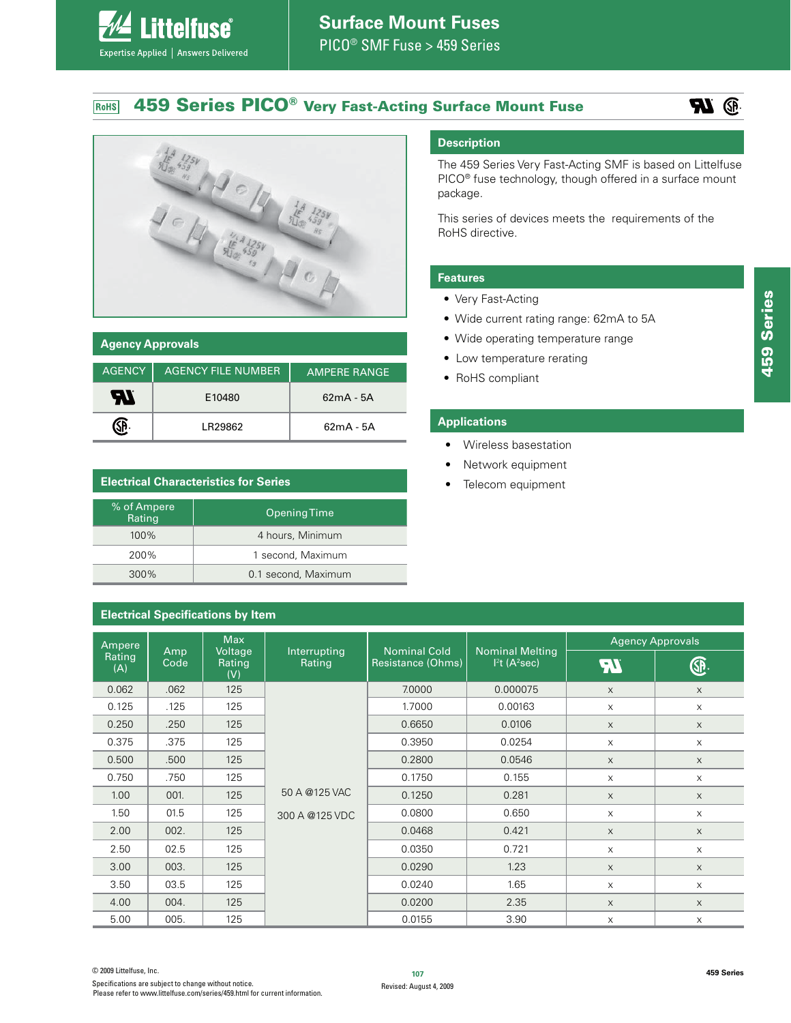#### **459 Series PICO® Very Fast-Acting Surface Mount Fuse** RoHS





| <b>Agency Approvals</b> |                           |                     |  |
|-------------------------|---------------------------|---------------------|--|
| <b>AGENCY</b>           | <b>AGENCY FILE NUMBER</b> | <b>AMPERE RANGE</b> |  |
| W                       | E10480                    | $62mA - 5A$         |  |
|                         | I R29862                  | $62mA - 5A$         |  |

# **Electrical Characteristics for Series**

**ittelfuse** 

Expertise Applied | Answers Delivered

| % of Ampere<br>Rating | Opening Time        |
|-----------------------|---------------------|
| 100%                  | 4 hours, Minimum    |
| 200%                  | 1 second, Maximum   |
| 300%                  | 0.1 second, Maximum |

# **Electrical Specifications by Item**

# **Description**

The 459 Series Very Fast-Acting SMF is based on Littelfuse PICO<sup>®</sup> fuse technology, though offered in a surface mount package.

This series of devices meets the requirements of the RoHS directive.

# **Features**

- Very Fast-Acting
- Wide current rating range: 62mA to 5A
- Wide operating temperature range
- Low temperature rerating
- RoHS compliant

#### **Applications**

- Wireless basestation
- Network equipment
- Telecom equipment

| <b>Electrical Specifications by Item</b> |             |                          |                        |                   |                                                                             |             |                           |
|------------------------------------------|-------------|--------------------------|------------------------|-------------------|-----------------------------------------------------------------------------|-------------|---------------------------|
| Ampere                                   | <b>Max</b>  |                          |                        |                   | <b>Agency Approvals</b>                                                     |             |                           |
| Rating<br>(A)                            | Amp<br>Code | Voltage<br>Rating<br>(V) | Interrupting<br>Rating | Resistance (Ohms) | <b>Nominal Cold</b><br><b>Nominal Melting</b><br>$I2t$ (A <sup>2</sup> sec) | <b>FT</b>   | <u> ଜ</u>                 |
| 0.062                                    | .062        | 125                      |                        | 7.0000            | 0.000075                                                                    | $\times$    | $\times$                  |
| 0.125                                    | .125        | 125                      |                        | 1.7000            | 0.00163                                                                     | $\times$    | $\mathsf X$               |
| 0.250                                    | .250        | 125                      |                        | 0.6650            | 0.0106                                                                      | $\times$    | $\times$                  |
| 0.375                                    | .375        | 125                      |                        | 0.3950            | 0.0254                                                                      | X           | $\mathsf X$               |
| 0.500                                    | .500        | 125                      |                        | 0.2800            | 0.0546                                                                      | $\times$    | $\boldsymbol{\mathsf{X}}$ |
| 0.750                                    | .750        | 125                      |                        | 0.1750            | 0.155                                                                       | $\times$    | $\times$                  |
| 1.00                                     | 001.        | 125                      | 50 A @125 VAC          | 0.1250            | 0.281                                                                       | $\mathsf X$ | $\times$                  |
| 1.50                                     | 01.5        | 125                      | 300 A @125 VDC         | 0.0800            | 0.650                                                                       | X           | $\mathsf X$               |
| 2.00                                     | 002.        | 125                      |                        | 0.0468            | 0.421                                                                       | $\mathsf X$ | $\mathsf X$               |
| 2.50                                     | 02.5        | 125                      |                        | 0.0350            | 0.721                                                                       | $\times$    | $\times$                  |
| 3.00                                     | 003.        | 125                      |                        | 0.0290            | 1.23                                                                        | $\times$    | $\times$                  |
| 3.50                                     | 03.5        | 125                      |                        | 0.0240            | 1.65                                                                        | $\times$    | $\times$                  |
| 4.00                                     | 004.        | 125                      |                        | 0.0200            | 2.35                                                                        | X           | $\boldsymbol{\mathsf{X}}$ |
| 5.00                                     | 005.        | 125                      |                        | 0.0155            | 3.90                                                                        | X           | X                         |

**<sup>107</sup>** © 2009 Littelfuse, Inc. Specifications are subject to change without notice. Please refer to www.littelfuse.com/series/459.html for current information.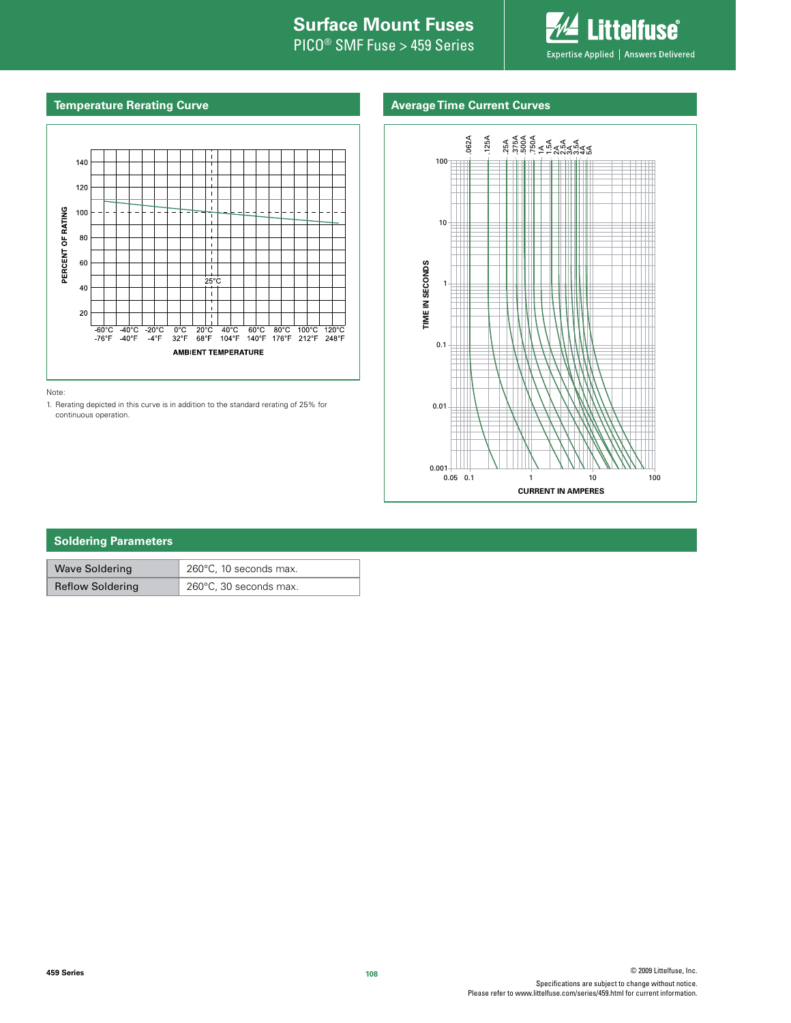# **Internal Surface Mount Fuses**

PICO® SMF Fuse > 459 Series



# **Temperature Rerating Curve**

# **Average Time Current Curves**



Note:

1. Rerating depicted in this curve is in addition to the standard rerating of 25% for continuous operation.



# **Soldering Parameters**

| <b>Wave Soldering</b>   | $'$ 260 $^{\circ}$ C, 10 seconds max. |  |
|-------------------------|---------------------------------------|--|
| <b>Reflow Soldering</b> | 260°C, 30 seconds max.                |  |